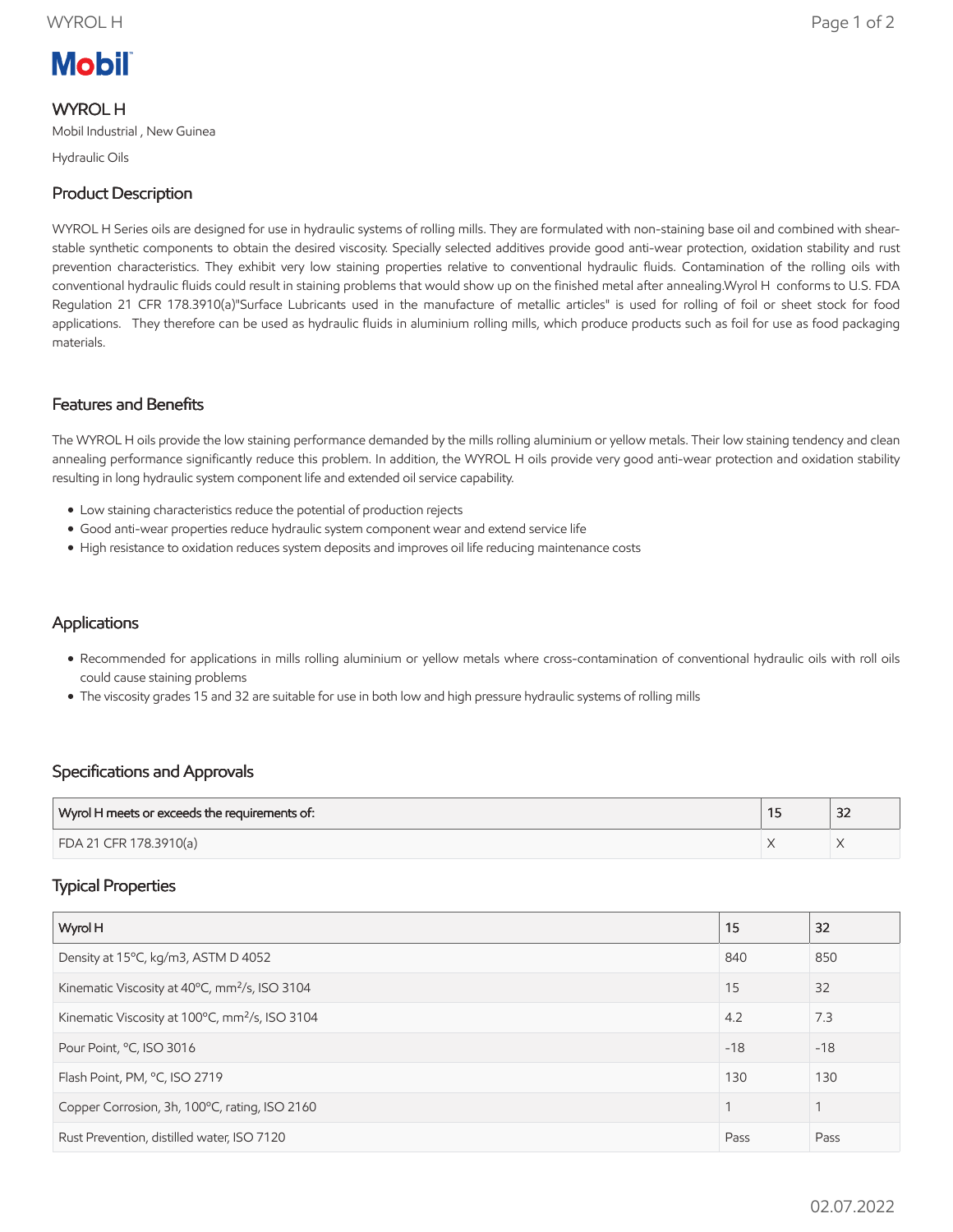# **Mobil**

# WYROL H

Mobil Industrial , New Guinea

Hydraulic Oils

# Product Description

WYROL H Series oils are designed for use in hydraulic systems of rolling mills. They are formulated with non-staining base oil and combined with shearstable synthetic components to obtain the desired viscosity. Specially selected additives provide good anti-wear protection, oxidation stability and rust prevention characteristics. They exhibit very low staining properties relative to conventional hydraulic fluids. Contamination of the rolling oils with conventional hydraulic fluids could result in staining problems that would show up on the finished metal after annealing.Wyrol H conforms to U.S. FDA Regulation 21 CFR 178.3910(a)"Surface Lubricants used in the manufacture of metallic articles" is used for rolling of foil or sheet stock for food applications. They therefore can be used as hydraulic fluids in aluminium rolling mills, which produce products such as foil for use as food packaging materials.

### Features and Benefits

The WYROL H oils provide the low staining performance demanded by the mills rolling aluminium or yellow metals. Their low staining tendency and clean annealing performance significantly reduce this problem. In addition, the WYROL H oils provide very good anti-wear protection and oxidation stability resulting in long hydraulic system component life and extended oil service capability.

- Low staining characteristics reduce the potential of production rejects
- Good anti-wear properties reduce hydraulic system component wear and extend service life
- High resistance to oxidation reduces system deposits and improves oil life reducing maintenance costs

### **Applications**

- Recommended for applications in mills rolling aluminium or yellow metals where cross-contamination of conventional hydraulic oils with roll oils could cause staining problems
- The viscosity grades 15 and 32 are suitable for use in both low and high pressure hydraulic systems of rolling mills

### Specifications and Approvals

| Wyrol H meets or exceeds the requirements of: | $\sim$<br>ےر |
|-----------------------------------------------|--------------|
| FDA 21 CFR 178.3910(a)                        |              |

### Typical Properties

| Wyrol H                                                    | 15    | 32    |
|------------------------------------------------------------|-------|-------|
| Density at 15°C, kg/m3, ASTM D 4052                        | 840   | 850   |
| Kinematic Viscosity at 40°C, mm <sup>2</sup> /s, ISO 3104  | 15    | 32    |
| Kinematic Viscosity at 100°C, mm <sup>2</sup> /s, ISO 3104 | 4.2   | 7.3   |
| Pour Point, °C, ISO 3016                                   | $-18$ | $-18$ |
| Flash Point, PM, °C, ISO 2719                              | 130   | 130   |
| Copper Corrosion, 3h, 100°C, rating, ISO 2160              |       |       |
| Rust Prevention, distilled water, ISO 7120                 | Pass  | Pass  |